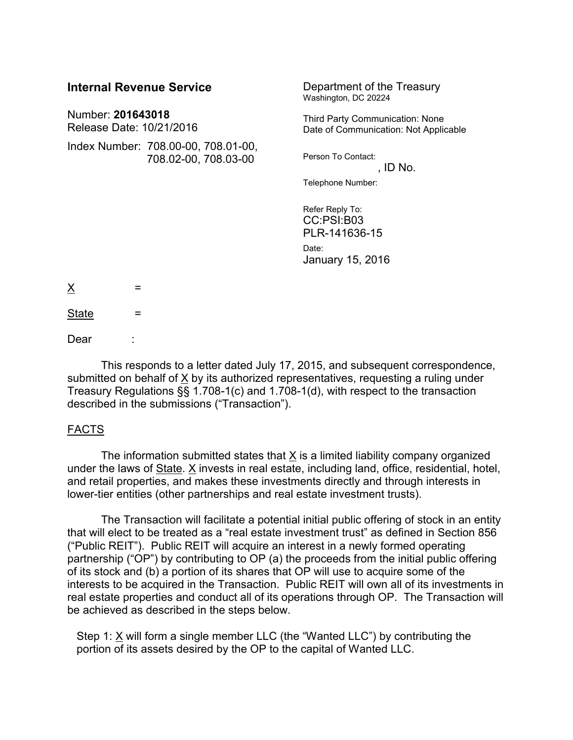| <b>Internal Revenue Service</b>               |                                                             | Department of the Treasury<br>Washington, DC 20224                       |
|-----------------------------------------------|-------------------------------------------------------------|--------------------------------------------------------------------------|
| Number: 201643018<br>Release Date: 10/21/2016 |                                                             | Third Party Communication: None<br>Date of Communication: Not Applicable |
|                                               | Index Number: 708.00-00, 708.01-00,<br>708.02-00, 708.03-00 | Person To Contact:<br>, ID No.                                           |
|                                               |                                                             | Telephone Number:                                                        |
|                                               |                                                             | Refer Reply To:<br>CC:PSI:B03<br>PLR-141636-15                           |
|                                               |                                                             | Date:<br>January 15, 2016                                                |
| <u>X</u><br>=                                 |                                                             |                                                                          |
| <b>State</b><br>=                             |                                                             |                                                                          |

Dear

This responds to a letter dated July 17, 2015, and subsequent correspondence, submitted on behalf of  $X$  by its authorized representatives, requesting a ruling under Treasury Regulations §§ 1.708-1(c) and 1.708-1(d), with respect to the transaction described in the submissions ("Transaction").

#### FACTS

The information submitted states that X is a limited liability company organized under the laws of State. X invests in real estate, including land, office, residential, hotel, and retail properties, and makes these investments directly and through interests in lower-tier entities (other partnerships and real estate investment trusts).

The Transaction will facilitate a potential initial public offering of stock in an entity that will elect to be treated as a "real estate investment trust" as defined in Section 856 ("Public REIT"). Public REIT will acquire an interest in a newly formed operating partnership ("OP") by contributing to OP (a) the proceeds from the initial public offering of its stock and (b) a portion of its shares that OP will use to acquire some of the interests to be acquired in the Transaction. Public REIT will own all of its investments in real estate properties and conduct all of its operations through OP. The Transaction will be achieved as described in the steps below.

Step 1:  $X$  will form a single member LLC (the "Wanted LLC") by contributing the portion of its assets desired by the OP to the capital of Wanted LLC.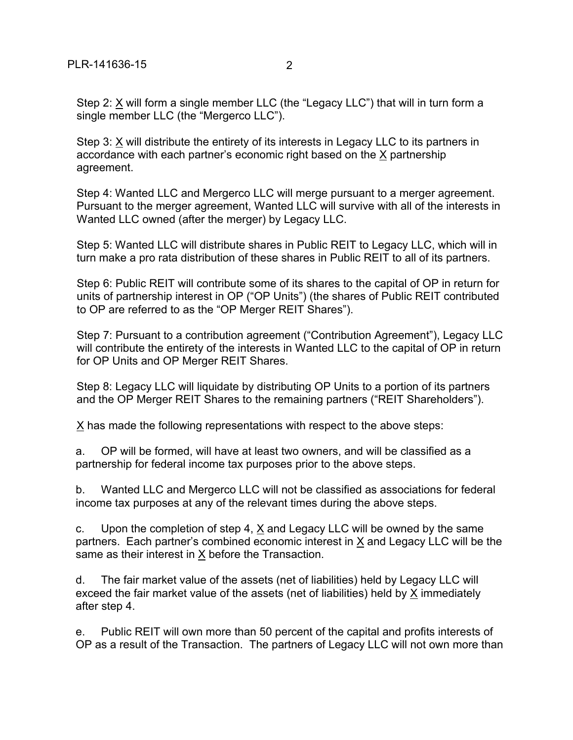Step 2: X will form a single member LLC (the "Legacy LLC") that will in turn form a single member LLC (the "Mergerco LLC").

Step 3: X will distribute the entirety of its interests in Legacy LLC to its partners in accordance with each partner's economic right based on the X partnership agreement.

Step 4: Wanted LLC and Mergerco LLC will merge pursuant to a merger agreement. Pursuant to the merger agreement, Wanted LLC will survive with all of the interests in Wanted LLC owned (after the merger) by Legacy LLC.

Step 5: Wanted LLC will distribute shares in Public REIT to Legacy LLC, which will in turn make a pro rata distribution of these shares in Public REIT to all of its partners.

Step 6: Public REIT will contribute some of its shares to the capital of OP in return for units of partnership interest in OP ("OP Units") (the shares of Public REIT contributed to OP are referred to as the "OP Merger REIT Shares").

Step 7: Pursuant to a contribution agreement ("Contribution Agreement"), Legacy LLC will contribute the entirety of the interests in Wanted LLC to the capital of OP in return for OP Units and OP Merger REIT Shares.

Step 8: Legacy LLC will liquidate by distributing OP Units to a portion of its partners and the OP Merger REIT Shares to the remaining partners ("REIT Shareholders").

 $X$  has made the following representations with respect to the above steps:

a. OP will be formed, will have at least two owners, and will be classified as a partnership for federal income tax purposes prior to the above steps.

b. Wanted LLC and Mergerco LLC will not be classified as associations for federal income tax purposes at any of the relevant times during the above steps.

c. Upon the completion of step 4,  $\underline{X}$  and Legacy LLC will be owned by the same partners. Each partner's combined economic interest in X and Legacy LLC will be the same as their interest in X before the Transaction.

d. The fair market value of the assets (net of liabilities) held by Legacy LLC will exceed the fair market value of the assets (net of liabilities) held by X immediately after step 4.

e. Public REIT will own more than 50 percent of the capital and profits interests of OP as a result of the Transaction. The partners of Legacy LLC will not own more than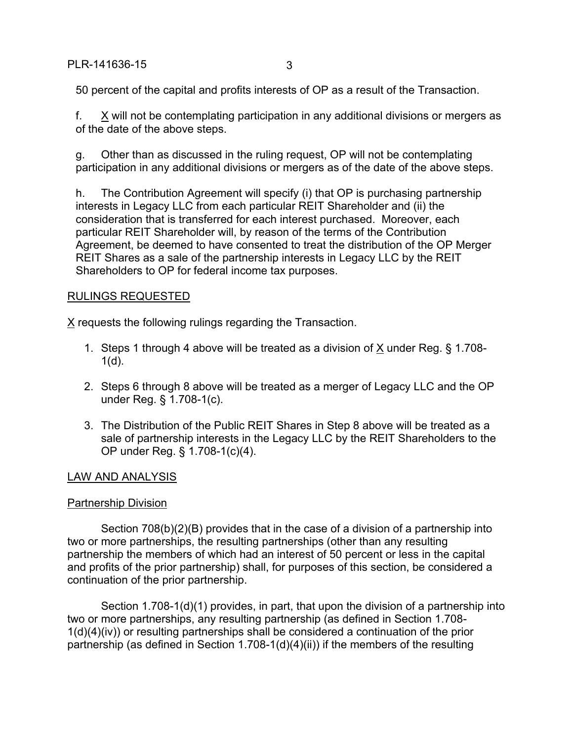50 percent of the capital and profits interests of OP as a result of the Transaction.

f. X will not be contemplating participation in any additional divisions or mergers as of the date of the above steps.

g. Other than as discussed in the ruling request, OP will not be contemplating participation in any additional divisions or mergers as of the date of the above steps.

h. The Contribution Agreement will specify (i) that OP is purchasing partnership interests in Legacy LLC from each particular REIT Shareholder and (ii) the consideration that is transferred for each interest purchased. Moreover, each particular REIT Shareholder will, by reason of the terms of the Contribution Agreement, be deemed to have consented to treat the distribution of the OP Merger REIT Shares as a sale of the partnership interests in Legacy LLC by the REIT Shareholders to OP for federal income tax purposes.

# RULINGS REQUESTED

X requests the following rulings regarding the Transaction.

- 1. Steps 1 through 4 above will be treated as a division of X under Reg. § 1.708-  $1(d)$ .
- 2. Steps 6 through 8 above will be treated as a merger of Legacy LLC and the OP under Reg. § 1.708-1(c).
- 3. The Distribution of the Public REIT Shares in Step 8 above will be treated as a sale of partnership interests in the Legacy LLC by the REIT Shareholders to the OP under Reg. § 1.708-1(c)(4).

## LAW AND ANALYSIS

## Partnership Division

Section 708(b)(2)(B) provides that in the case of a division of a partnership into two or more partnerships, the resulting partnerships (other than any resulting partnership the members of which had an interest of 50 percent or less in the capital and profits of the prior partnership) shall, for purposes of this section, be considered a continuation of the prior partnership.

Section 1.708-1(d)(1) provides, in part, that upon the division of a partnership into two or more partnerships, any resulting partnership (as defined in Section 1.708- 1(d)(4)(iv)) or resulting partnerships shall be considered a continuation of the prior partnership (as defined in Section 1.708-1(d)(4)(ii)) if the members of the resulting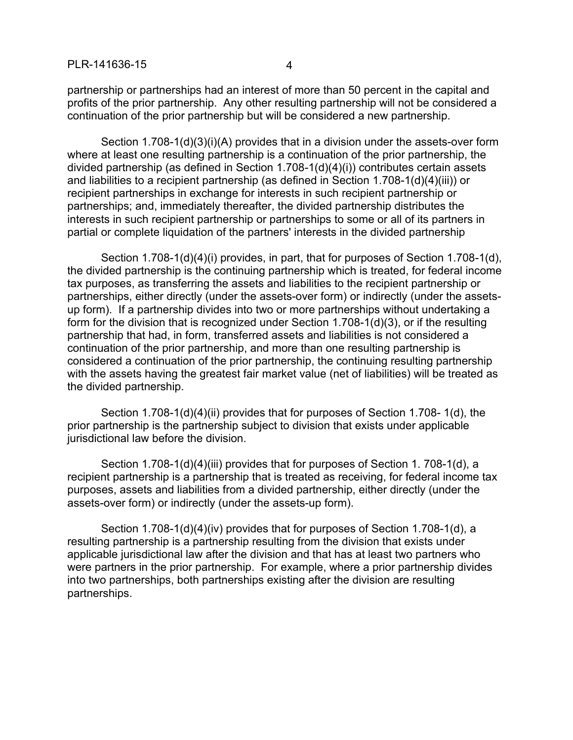partnership or partnerships had an interest of more than 50 percent in the capital and profits of the prior partnership. Any other resulting partnership will not be considered a continuation of the prior partnership but will be considered a new partnership.

Section 1.708-1(d)(3)(i)(A) provides that in a division under the assets-over form where at least one resulting partnership is a continuation of the prior partnership, the divided partnership (as defined in Section 1.708-1(d)(4)(i)) contributes certain assets and liabilities to a recipient partnership (as defined in Section 1.708-1(d)(4)(iii)) or recipient partnerships in exchange for interests in such recipient partnership or partnerships; and, immediately thereafter, the divided partnership distributes the interests in such recipient partnership or partnerships to some or all of its partners in partial or complete liquidation of the partners' interests in the divided partnership

Section 1.708-1(d)(4)(i) provides, in part, that for purposes of Section 1.708-1(d), the divided partnership is the continuing partnership which is treated, for federal income tax purposes, as transferring the assets and liabilities to the recipient partnership or partnerships, either directly (under the assets-over form) or indirectly (under the assetsup form). If a partnership divides into two or more partnerships without undertaking a form for the division that is recognized under Section 1.708-1(d)(3), or if the resulting partnership that had, in form, transferred assets and liabilities is not considered a continuation of the prior partnership, and more than one resulting partnership is considered a continuation of the prior partnership, the continuing resulting partnership with the assets having the greatest fair market value (net of liabilities) will be treated as the divided partnership.

Section 1.708-1(d)(4)(ii) provides that for purposes of Section 1.708- 1(d), the prior partnership is the partnership subject to division that exists under applicable jurisdictional law before the division.

Section 1.708-1(d)(4)(iii) provides that for purposes of Section 1. 708-1(d), a recipient partnership is a partnership that is treated as receiving, for federal income tax purposes, assets and liabilities from a divided partnership, either directly (under the assets-over form) or indirectly (under the assets-up form).

Section 1.708-1(d)(4)(iv) provides that for purposes of Section 1.708-1(d), a resulting partnership is a partnership resulting from the division that exists under applicable jurisdictional law after the division and that has at least two partners who were partners in the prior partnership. For example, where a prior partnership divides into two partnerships, both partnerships existing after the division are resulting partnerships.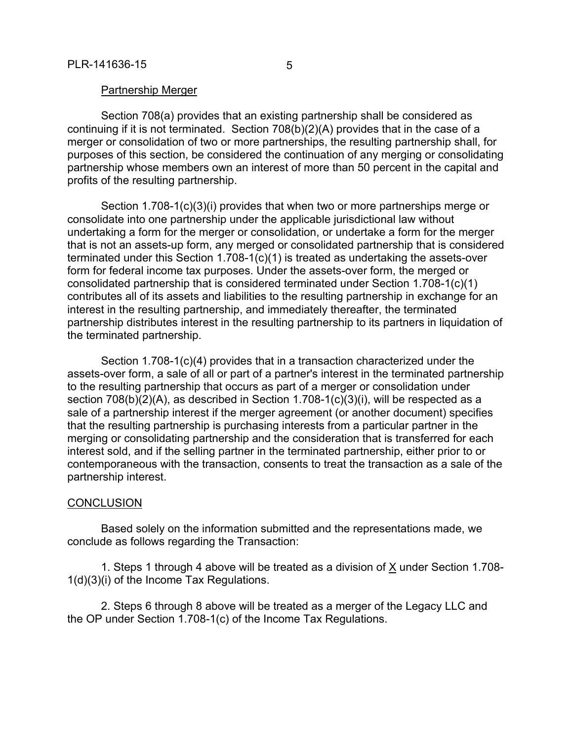Section 708(a) provides that an existing partnership shall be considered as continuing if it is not terminated. Section 708(b)(2)(A) provides that in the case of a merger or consolidation of two or more partnerships, the resulting partnership shall, for purposes of this section, be considered the continuation of any merging or consolidating partnership whose members own an interest of more than 50 percent in the capital and profits of the resulting partnership.

Section 1.708-1(c)(3)(i) provides that when two or more partnerships merge or consolidate into one partnership under the applicable jurisdictional law without undertaking a form for the merger or consolidation, or undertake a form for the merger that is not an assets-up form, any merged or consolidated partnership that is considered terminated under this Section 1.708-1(c)(1) is treated as undertaking the assets-over form for federal income tax purposes. Under the assets-over form, the merged or consolidated partnership that is considered terminated under Section 1.708-1(c)(1) contributes all of its assets and liabilities to the resulting partnership in exchange for an interest in the resulting partnership, and immediately thereafter, the terminated partnership distributes interest in the resulting partnership to its partners in liquidation of the terminated partnership.

Section 1.708-1(c)(4) provides that in a transaction characterized under the assets-over form, a sale of all or part of a partner's interest in the terminated partnership to the resulting partnership that occurs as part of a merger or consolidation under section 708(b)(2)(A), as described in Section 1.708-1(c)(3)(i), will be respected as a sale of a partnership interest if the merger agreement (or another document) specifies that the resulting partnership is purchasing interests from a particular partner in the merging or consolidating partnership and the consideration that is transferred for each interest sold, and if the selling partner in the terminated partnership, either prior to or contemporaneous with the transaction, consents to treat the transaction as a sale of the partnership interest.

#### **CONCLUSION**

Based solely on the information submitted and the representations made, we conclude as follows regarding the Transaction:

1. Steps 1 through 4 above will be treated as a division of X under Section 1.708- 1(d)(3)(i) of the Income Tax Regulations.

2. Steps 6 through 8 above will be treated as a merger of the Legacy LLC and the OP under Section 1.708-1(c) of the Income Tax Regulations.